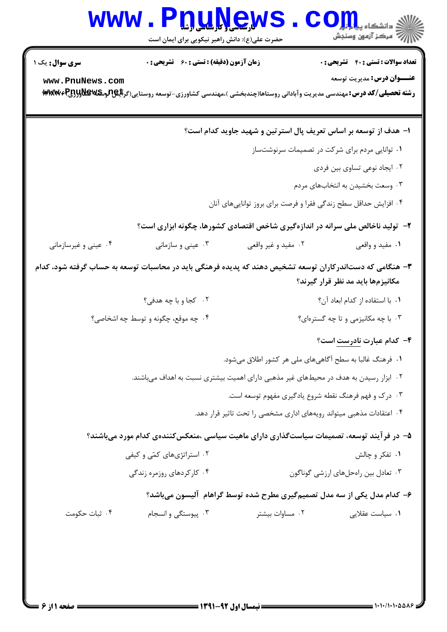## WWW.PnuNews.Com ے۔<br>اللہ = مرکز آزمون وسنجش

حضرت علی(ع): دانش راهبر نیکویی برای ایمان است

**تعداد سوالات : تستي : 40 - تشريحي : 0** 

**زمان آزمون (دقیقه) : تستی : 60 تشریحی : 0** 

**سری سوال :** یک ۱

www.PnuNews.com

**عنــوان درس:** مديريت توسعه

رشته تحصیلی/کد درس: مهندسی مدیریت وآبادانی روستاها(چندبخشی )،مهندسی کشاورزی-توسعه روستایی(گرالِگُلولالگلولالیالی)WGW۶

۱– هدف از توسعه بر اساس تعریف پال استرتین و شهید جاوید کدام است؟ ۰۱ توانایی مردم برای شرکت در تصمیمات سرنوشتساز ۰۲ ایجاد نوعی تساوی بین فردی ۰۳ وسعت بخشیدن به انتخابهای مردم ۰۴ افزایش حداقل سطح زندگی فقرا و فرصت برای بروز توانایی های آنان ۲- تولید ناخالص ملی سرانه در اندازهگیری شاخص اقتصادی کشورها، چگونه ابزاری است؟ ۰۴ عینی و غیرسازمانی .۳ عيني و سازماني ۰۲ مفید و غیر واقعی ۰۱ مفید و واقعی ۳- هنگامی که دستاندرکاران توسعه تشخیص دهند که پدیده فرهنگی باید در محاسبات توسعه به حساب گرفته شود، کدام مکانیزمها باید مد نظر قرار گیرند؟ ٢. كجا ويا چه هدفي؟ ٠١. يا استفاده از كدام ابعاد آن؟ ۰۴ چه موقع، چگونه و توسط چه اشخاصی؟ ۰۳ با چه مکانیزمی و تا چه گسترهای؟ ۴- کدام عبارت نادرست است؟ ١. فرهنگ غالبا به سطح آگاهیهای ملی هر کشور اطلاق می شود. ۰۲ ابزار رسیدن به هدف در محیطهای غیر مذهبی دارای اهمیت بیشتری نسبت به اهداف میباشند. ۰۳ درک و فهم فرهنگ نقطه شروع یادگیری مفهوم توسعه است. ۰۴ اعتقادات مذهبی میتواند رویههای اداری مشخصی را تحت تاثیر قرار دهد. ۵– در فرآیند توسعه، تصمیمات سیاستگذاری دارای ماهیت سیاسی ،منعکسکنندهی کدام مورد میباشند؟ ۰۲ استراتژیهای کمّی و کیفی ۰۱ تفکر و چالش ۰۴ کار کردهای روزمره زندگی ۰۳ تعادل بین راهحلهای ارزشی گوناگون ۶– کدام مدل یکی از سه مدل تصمیم5یری مطرح شده توسط گراهام آلیسون میباشد؟ ۰۳ پیوستگی و انسجام ۰۴ ثبات حکومت ۰۲ مساوات بیشتر **۱.** سیاست عقلایی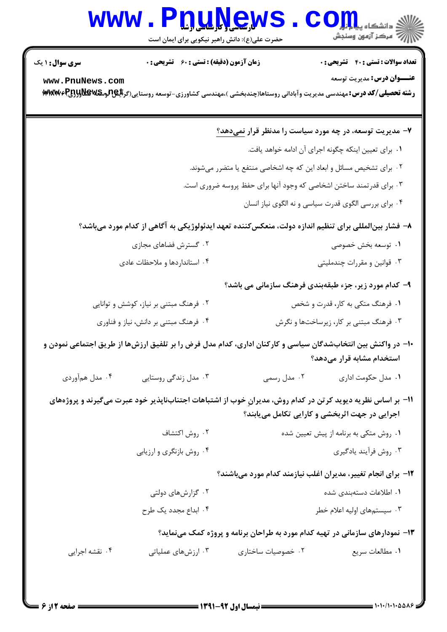## WWW.PnuNews.Com .<br>\||// " مرکز آزمون وسنڊش

حضرت علی(ع): دانش راهبر نیکویی برای ایمان است

**تعداد سوالات : تستي : 40 - تشريحي : 0 سری سوال : ۱ یک زمان آزمون (دقیقه) : تستی : 60 گشریحی: 0 عنــوان درس:** مديريت توسعه www.PnuNews.com رشته تحصیلی/کد درس: مهندسی مدیریت وآبادانی روستاها(چندبخشی )،مهندسی کشاورزی-توسعه روستایی(گرایکلومکلایلاولاولا) MWW6R ۷- مدیریت توسعه، در چه مورد سیاست را مدنظر قرار نمی دهد؟ ٠١. براي تعيين اينكه چگونه اجراي آن ادامه خواهد يافت. ۰۲ برای تشخیص مسائل و ابعاد این که چه اشخاصی منتفع یا متضرر میشوند. ۰۳ برای قدرتمند ساختن اشخاصی که وجود آنها برای حفظ پروسه ضروری است. ۰۴ برای بررسی الگوی قدرت سیاسی و نه الگوی نیاز انسان ۸– فشار بینالمللی برای تنظیم اندازه دولت، منعکس کننده تعهد ایدئولوژیکی به آگاهی از کدام مورد میباشد؟ ۰۲ گسترش فضاهای مجازی ٠١. توسعه بخش خصوصى ۰۴ استانداردها و ملاحظات عادی ۰۳ قوانین و مقررات چندملیتی ۹- کدام مورد زیر، جزء طبقهبندی فرهنگ سازمانی می باشد؟ ۰۲ فرهنگ مبتنی بر نیاز، کوشش و توانایی ۰۱ فرهنگ متکی به کار، قدرت و شخص ۰۴ فرهنگ مبتنی بر دانش، نیاز و فناوری ۰۳ فرهنگ مبتنی بر کار، زیرساختها و نگرش ∙ا− در واکنش بین انتخابشدگان سیاسی و کارکنان اداری، کدام مدل فرض را بر تلفیق ارزشها از طریق اجتماعی نمودن و استخدام مشابه قرار می دهد؟ ۰۴ مدل همآوردی ۰۳ مدل زندگی روستایی ۰۲ مدل رسمی ۰۱ مدل حکومت اداری 1۱- بر اساس نظریه دیوید کرتن در کدام روش، مدیران خوب از اشتباهات اجتنابناپذیر خود عبرت میگیرند و پروژههای اجرایی در جهت اثربخشی و کارایی تکامل میبابند؟ ۰۲ , وش اکتشاف ۰۱ ٫وش متکی به برنامه از پیش تعیین شده ۰۴ روش بازنگری و ارزیابی ۰۳ روش فرآیند یادگیری ۱۲- برای انجام تغییر، مدیران اغلب نیازمند کدام مورد می باشند؟ ۰۲ گزارش های دولتی ٠١ اطلاعات دستهبندي شده ۰۴ ابداع مجدد یک طرح ۰۳ سیستمهای اولیه اعلام خطر ۱۳- نمودارهای سازمانی در تهیه کدام مورد به طراحان برنامه و پروژه کمک مینماید؟ ۰۴ نقشه اجرایی ۰۳ ارزشهای عملیاتی ۰۲ خصوصیات ساختاری ٠١ مطالعات سريع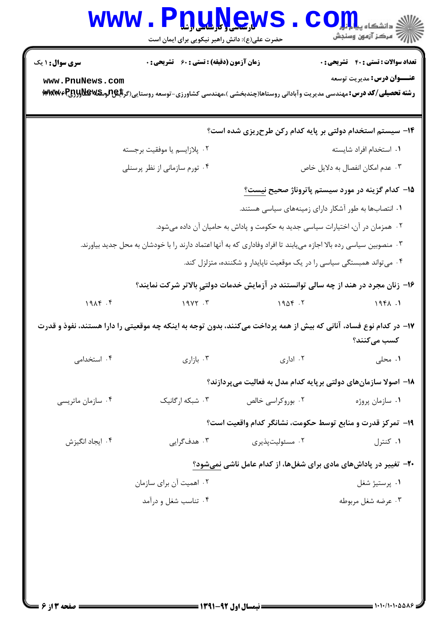|                        | <b>Vرسی ( باریابا) باریا</b><br>حضرت علی(ع): دانش راهبر نیکویی برای ایمان است                                      |                   | دانشگاه پ <b>یا با تار</b><br>رُ⁄ آمرڪز آزمون وسنڊش                                 |
|------------------------|--------------------------------------------------------------------------------------------------------------------|-------------------|-------------------------------------------------------------------------------------|
| <b>سری سوال : ۱ یک</b> | <b>زمان آزمون (دقیقه) : تستی : 60 ٪ تشریحی : 0</b>                                                                 |                   | <b>تعداد سوالات : تستی : 40 - تشریحی : 0</b>                                        |
| www.PnuNews.com        |                                                                                                                    |                   | <b>عنـــوان درس:</b> مدیریت توسعه                                                   |
|                        |                                                                                                                    |                   | ۱۴- سیستم استخدام دولتی بر پایه کدام رکن طرحریزی شده است؟                           |
|                        | ۰۲ پلازايسم يا موفقيت برجسته                                                                                       |                   | ٠١ استخدام افراد شايسته                                                             |
|                        | ۰۴ تورم سازمانی از نظر پرسنلی                                                                                      |                   | ۰۳ عدم امکان انفصال به دلایل خاص                                                    |
|                        |                                                                                                                    |                   | <b>۱۵</b> – کدام گزینه در مورد سیستم پاتروناژ صحیح <u>نیست؟</u>                     |
|                        |                                                                                                                    |                   | ۰۱ انتصابها به طور آشکار دارای زمینههای سیاسی هستند.                                |
|                        |                                                                                                                    |                   | ۰۲ همزمان در آن، اختیارات سیاسی جدید به حکومت و پاداش به حامیان آن داده میشود.      |
|                        | ۰۳ منصوبین سیاسی رده بالا اجازه مییابند تا افراد وفاداری که به آنها اعتماد دارند را با خودشان به محل جدید بیاورند. |                   |                                                                                     |
|                        |                                                                                                                    |                   | ۰۴ میتواند همبستگی سیاسی را در یک موقعیت ناپایدار و شکننده، متزلزل کند.             |
|                        |                                                                                                                    |                   | ۱۶- زنان مجرد در هند از چه سالی توانستند در آزمایش خدمات دولتیِ بالاتر شرکت نمایند؟ |
| 19AP.                  | $19YY \cdot Y$                                                                                                     | 1906.7            | 1981.1                                                                              |
|                        | ۱۷– در کدام نوع فساد، آنانی که بیش از همه پرداخت میکنند، بدون توجه به اینکه چه موقعیتی را دارا هستند، نفوذ و قدرت  |                   | کسب میکنند؟                                                                         |
| ۰۴ استخدامی            | ۰۳ بازاری                                                                                                          | ۰۲ اداری          | ٠١ محلي                                                                             |
|                        |                                                                                                                    |                   | ۱۸– اصولا سازمانهای دولتی برپایه کدام مدل به فعالیت میپردازند؟                      |
| ۰۴ سازمان ماتریسی      | ۰۳ شبکه ارگانیک                                                                                                    | ۰۲ بوروکراسی خالص | ۰۱ سازمان پروژه                                                                     |
|                        |                                                                                                                    |                   | ١٩- تمركز قدرت و منابع توسط حكومت، نشانگر كدام واقعيت است؟                          |
| ۰۴ ایجاد انگیزش        | ۰۳ هدف گرایی                                                                                                       | ۰۲ مسئوليتپذيري   | ۰۱ کنترل                                                                            |
|                        |                                                                                                                    |                   | ۲۰- تغییر در پاداشهای مادی برای شغلها، از کدام عامل ناشی نمیشود؟                    |
|                        | ۰۲ اهمیت آن برای سازمان                                                                                            |                   | ۰۱ پرستيژ شغل                                                                       |
|                        | ۰۴ تناسب شغل و درآمد                                                                                               |                   | ۰۳ عرضه شغل مربوطه                                                                  |
|                        |                                                                                                                    |                   |                                                                                     |
|                        |                                                                                                                    |                   |                                                                                     |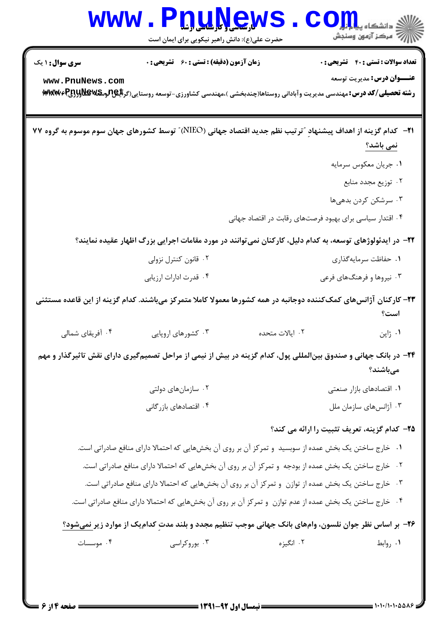

WWW.PnuNews.com

||// مرکز آزمون وسنجش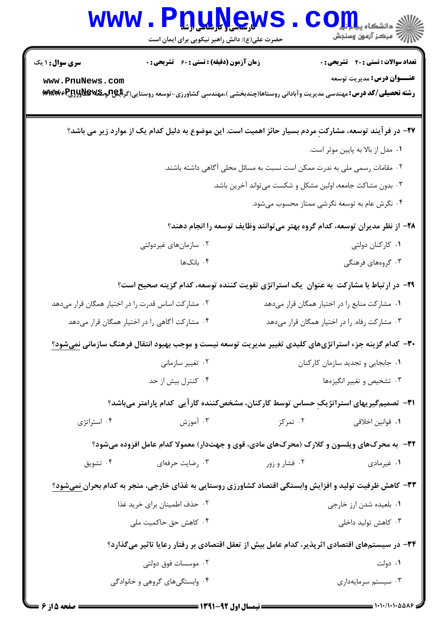|                                                   | www.PnuNews<br>حضرت علی(ع): دانش راهبر نیکویی برای ایمان است                                            |                                               | ان دانشکاه پیام آ <b>ران</b><br>انتخاب از آزامون وسنجش                            |
|---------------------------------------------------|---------------------------------------------------------------------------------------------------------|-----------------------------------------------|-----------------------------------------------------------------------------------|
| <b>سری سوال : ۱ یک</b><br>www.PnuNews.com         | زمان آزمون (دقیقه) : تستی : 60 ٪ تشریحی : 0                                                             |                                               | <b>تعداد سوالات : تستی : 40 - تشریحی : 0</b><br><b>عنـــوان درس:</b> مديريت توسعه |
|                                                   | ۲۷– در فرآیند توسعه، مشارکتِ مردم بسیار حائز اهمیت است. این موضوع به دلیل کدام یک از موارد زیر می باشد؟ |                                               |                                                                                   |
|                                                   |                                                                                                         |                                               | ۰۱ مدل از بالا به پایین موثر است.                                                 |
|                                                   |                                                                                                         |                                               | ۰۲ مقامات رسمی ملی به ندرت ممکن است نسبت به مسائل محلی آگاهی داشته باشند.         |
|                                                   |                                                                                                         |                                               | ۰۳ بدون مشاکت جامعه، اولین مشکل و شکست میتواند آخرین باشد.                        |
|                                                   |                                                                                                         |                                               | ۰۴ نگرش عام به توسعه نگرشی ممتاز محسوب میشود.                                     |
|                                                   |                                                                                                         |                                               | ۲۸– از نظر مدیران توسعه، کدام گروه بهتر میتوانند وظایف توسعه را انجام دهند؟       |
| ۰۲ سازمانهای غیردولتی                             |                                                                                                         | ۰۱ کارکنان دولتی                              |                                                                                   |
|                                                   | ۰۴ بانکها                                                                                               |                                               | ۰۳ گروههای فرهنگی                                                                 |
|                                                   | ۲۹- در ارتباط با مشارکت به عنوان یک استراتژی تقویت کننده توسعه، کدام گزینه صحیح است؟                    |                                               |                                                                                   |
| ۰۲ مشارکت اساس قدرت را در اختیار همگان قرار میدهد |                                                                                                         | ۰۱ مشارکت منابع را در اختیار همگان قرار میدهد |                                                                                   |
|                                                   | ۰۴ مشارکت آگاهی را در اختیار همگان قرار میدهد                                                           |                                               | ۰۳ مشارکت رفاه. را در اختیار همگان قرار میدهد                                     |
|                                                   | ۳۰– کدام گزینه جزء استراتژیهای کلیدی تغییر مدیریت توسعه نیست و موجب بهبود انتقال فرهنگ سازمانی نمیشود؟  |                                               |                                                                                   |
|                                                   | ۰۲ تغییر سازمان <sub>ی</sub>                                                                            | ۰۱ جابجایی و تجدید سازمان کارکنان             |                                                                                   |
|                                                   | ۰۴ کنترل بیش از حد                                                                                      |                                               | ۰۳ تشخیص و تغییر انگیزهها                                                         |
|                                                   | <b>۳۱</b> - تصمیمگیریهای استراتژیک حساس توسط کارکنان، مشخصکننده کار آیی کدام پارامتر میباشد؟            |                                               |                                                                                   |
| ۰۴ استراتژی                                       | ۰۳ آموزش                                                                                                | ۰۲ تمرکز                                      | ۰۱ قوانین اخلاقی                                                                  |
|                                                   | ۳۲- به محرکهای ویلسون و کلارک (محرکهای مادی، قوی و جهتدار) معمولا کدام عامل افزوده میشود؟               |                                               |                                                                                   |
| ۰۴ تشويق                                          | ۰۳ رضایت حرفهای                                                                                         | ۰۲ فشار و زور                                 | ۰۱ غیرمادی                                                                        |
|                                                   | ۳۳- کاهش ظرفیت تولید و افزایش وابستگی اقتصاد کشاورزی روستایی به غذای خارجی، منجر به کدام بحران نمیشود؟  |                                               |                                                                                   |
|                                                   | ۰۲ حذف اطمینان برای خرید غذا                                                                            |                                               | ۰۱ بلعیده شدن ارز خارجی                                                           |
|                                                   | ۰۴ کاهش حق حاکمیت ملی                                                                                   |                                               | ۰۳ کاهش تولید داخلی                                                               |
|                                                   | ۳۴– در سیستمهای اقتصادی اثرپذیر، کدام عامل بیش از تعقل اقتصادی بر رفتار رعایا تاثیر میگذارد؟            |                                               |                                                                                   |
|                                                   | ۰۲ موسسات فوق دولتی                                                                                     |                                               | ۰۱ دولت                                                                           |
|                                                   | ۰۴ وابستگیهای گروهی و خانوادگی                                                                          |                                               | ۰۳ سیستم سرمایهداری                                                               |